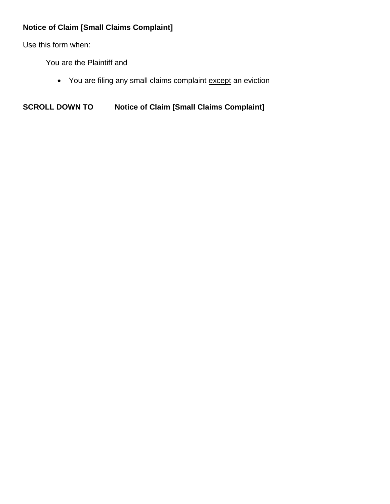## **Notice of Claim [Small Claims Complaint]**

Use this form when:

You are the Plaintiff and

• You are filing any small claims complaint except an eviction

**SCROLL DOWN TO Notice of Claim [Small Claims Complaint]**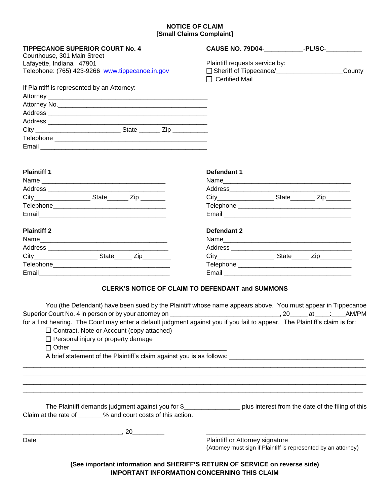## **NOTICE OF CLAIM [Small Claims Complaint]**

| <b>TIPPECANOE SUPERIOR COURT No. 4</b>                                                                                                                                                                                                                                                                               | CAUSE NO. 79D04-______________-PL/SC-__________                                                                                                                                                                                                                   |  |  |
|----------------------------------------------------------------------------------------------------------------------------------------------------------------------------------------------------------------------------------------------------------------------------------------------------------------------|-------------------------------------------------------------------------------------------------------------------------------------------------------------------------------------------------------------------------------------------------------------------|--|--|
| Courthouse, 301 Main Street                                                                                                                                                                                                                                                                                          |                                                                                                                                                                                                                                                                   |  |  |
| Lafayette, Indiana 47901                                                                                                                                                                                                                                                                                             | Plaintiff requests service by:                                                                                                                                                                                                                                    |  |  |
| Telephone: (765) 423-9266 www.tippecanoe.in.gov                                                                                                                                                                                                                                                                      | County<br>□ Certified Mail                                                                                                                                                                                                                                        |  |  |
| If Plaintiff is represented by an Attorney:                                                                                                                                                                                                                                                                          |                                                                                                                                                                                                                                                                   |  |  |
|                                                                                                                                                                                                                                                                                                                      |                                                                                                                                                                                                                                                                   |  |  |
|                                                                                                                                                                                                                                                                                                                      |                                                                                                                                                                                                                                                                   |  |  |
|                                                                                                                                                                                                                                                                                                                      |                                                                                                                                                                                                                                                                   |  |  |
|                                                                                                                                                                                                                                                                                                                      |                                                                                                                                                                                                                                                                   |  |  |
|                                                                                                                                                                                                                                                                                                                      |                                                                                                                                                                                                                                                                   |  |  |
|                                                                                                                                                                                                                                                                                                                      |                                                                                                                                                                                                                                                                   |  |  |
|                                                                                                                                                                                                                                                                                                                      |                                                                                                                                                                                                                                                                   |  |  |
| <b>Plaintiff 1</b>                                                                                                                                                                                                                                                                                                   | Defendant 1                                                                                                                                                                                                                                                       |  |  |
|                                                                                                                                                                                                                                                                                                                      |                                                                                                                                                                                                                                                                   |  |  |
|                                                                                                                                                                                                                                                                                                                      |                                                                                                                                                                                                                                                                   |  |  |
|                                                                                                                                                                                                                                                                                                                      |                                                                                                                                                                                                                                                                   |  |  |
|                                                                                                                                                                                                                                                                                                                      |                                                                                                                                                                                                                                                                   |  |  |
|                                                                                                                                                                                                                                                                                                                      |                                                                                                                                                                                                                                                                   |  |  |
| <b>Plaintiff 2</b>                                                                                                                                                                                                                                                                                                   | Defendant 2                                                                                                                                                                                                                                                       |  |  |
|                                                                                                                                                                                                                                                                                                                      |                                                                                                                                                                                                                                                                   |  |  |
|                                                                                                                                                                                                                                                                                                                      |                                                                                                                                                                                                                                                                   |  |  |
|                                                                                                                                                                                                                                                                                                                      |                                                                                                                                                                                                                                                                   |  |  |
|                                                                                                                                                                                                                                                                                                                      |                                                                                                                                                                                                                                                                   |  |  |
|                                                                                                                                                                                                                                                                                                                      |                                                                                                                                                                                                                                                                   |  |  |
| <b>CLERK'S NOTICE OF CLAIM TO DEFENDANT and SUMMONS</b><br>for a first hearing. The Court may enter a default judgment against you if you fail to appear. The Plaintiff's claim is for:<br>$\Box$ Contract, Note or Account (copy attached)<br>□ Personal injury or property damage<br>□ Other _____________________ | You (the Defendant) have been sued by the Plaintiff whose name appears above. You must appear in Tippecanoe<br>A brief statement of the Plaintiff's claim against you is as follows: [1984] A brief statement of the Plaintiff's claim against you is as follows: |  |  |
| Claim at the rate of _______% and court costs of this action.<br>$\overline{\phantom{a}}$ , 20                                                                                                                                                                                                                       | The Plaintiff demands judgment against you for \$_____________________ plus interest from the date of the filing of this                                                                                                                                          |  |  |
| Date                                                                                                                                                                                                                                                                                                                 | Plaintiff or Attorney signature<br>(Attorney must sign if Plaintiff is represented by an attorney)                                                                                                                                                                |  |  |
| (See important information and SHERIFF'S RETURN OF SERVICE on reverse side)<br><b>IMPORTANT INFORMATION CONCERNING THIS CLAIM</b>                                                                                                                                                                                    |                                                                                                                                                                                                                                                                   |  |  |